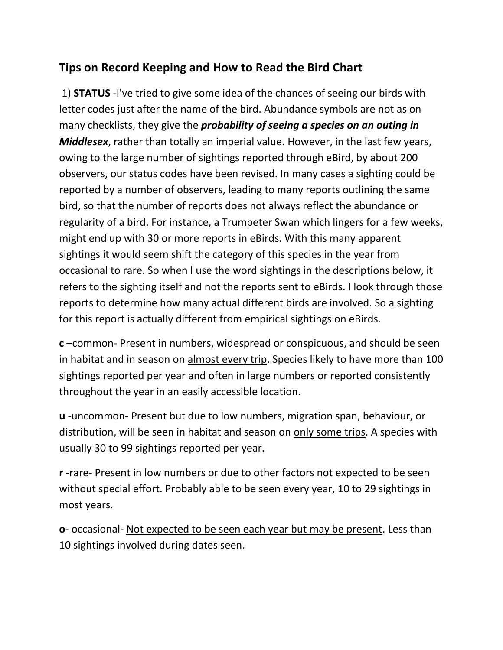## **Tips on Record Keeping and How to Read the Bird Chart**

1) **STATUS** -I've tried to give some idea of the chances of seeing our birds with letter codes just after the name of the bird. Abundance symbols are not as on many checklists, they give the *probability of seeing a species on an outing in Middlesex*, rather than totally an imperial value. However, in the last few years, owing to the large number of sightings reported through eBird, by about 200 observers, our status codes have been revised. In many cases a sighting could be reported by a number of observers, leading to many reports outlining the same bird, so that the number of reports does not always reflect the abundance or regularity of a bird. For instance, a Trumpeter Swan which lingers for a few weeks, might end up with 30 or more reports in eBirds. With this many apparent sightings it would seem shift the category of this species in the year from occasional to rare. So when I use the word sightings in the descriptions below, it refers to the sighting itself and not the reports sent to eBirds. I look through those reports to determine how many actual different birds are involved. So a sighting for this report is actually different from empirical sightings on eBirds.

**c** –common- Present in numbers, widespread or conspicuous, and should be seen in habitat and in season on almost every trip. Species likely to have more than 100 sightings reported per year and often in large numbers or reported consistently throughout the year in an easily accessible location.

**u** -uncommon- Present but due to low numbers, migration span, behaviour, or distribution, will be seen in habitat and season on only some trips. A species with usually 30 to 99 sightings reported per year.

**r** -rare- Present in low numbers or due to other factors not expected to be seen without special effort. Probably able to be seen every year, 10 to 29 sightings in most years.

**o**- occasional- Not expected to be seen each year but may be present. Less than 10 sightings involved during dates seen.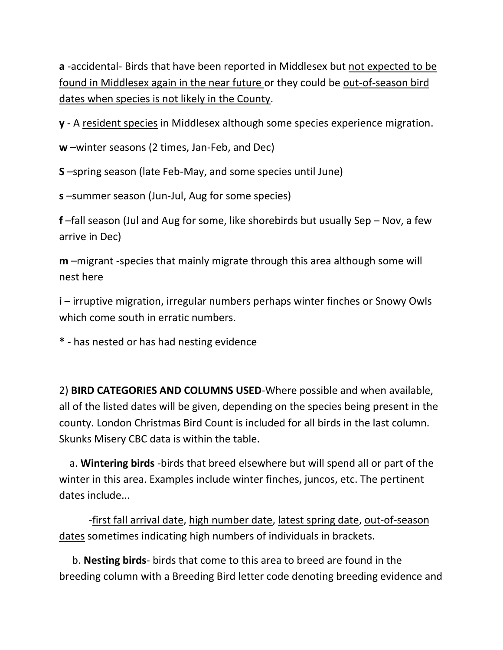**a** -accidental- Birds that have been reported in Middlesex but not expected to be found in Middlesex again in the near future or they could be out-of-season bird dates when species is not likely in the County.

**y** - A resident species in Middlesex although some species experience migration.

**w** –winter seasons (2 times, Jan-Feb, and Dec)

**S** –spring season (late Feb-May, and some species until June)

**s** –summer season (Jun-Jul, Aug for some species)

**f** –fall season (Jul and Aug for some, like shorebirds but usually Sep – Nov, a few arrive in Dec)

**m** –migrant -species that mainly migrate through this area although some will nest here

**i –** irruptive migration, irregular numbers perhaps winter finches or Snowy Owls which come south in erratic numbers.

**\*** - has nested or has had nesting evidence

2) **BIRD CATEGORIES AND COLUMNS USED**-Where possible and when available, all of the listed dates will be given, depending on the species being present in the county. London Christmas Bird Count is included for all birds in the last column. Skunks Misery CBC data is within the table.

 a. **Wintering birds** -birds that breed elsewhere but will spend all or part of the winter in this area. Examples include winter finches, juncos, etc. The pertinent dates include...

-first fall arrival date, high number date, latest spring date, out-of-season dates sometimes indicating high numbers of individuals in brackets.

 b. **Nesting birds**- birds that come to this area to breed are found in the breeding column with a Breeding Bird letter code denoting breeding evidence and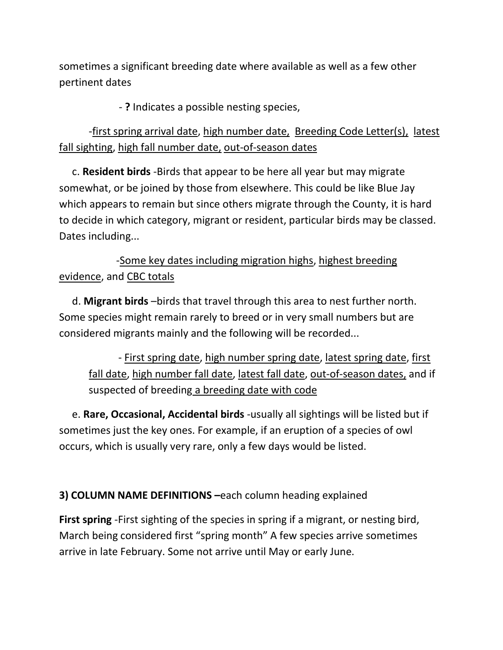sometimes a significant breeding date where available as well as a few other pertinent dates

- **?** Indicates a possible nesting species,

-first spring arrival date, high number date, Breeding Code Letter(s), latest fall sighting, high fall number date, out-of-season dates

 c. **Resident birds** -Birds that appear to be here all year but may migrate somewhat, or be joined by those from elsewhere. This could be like Blue Jay which appears to remain but since others migrate through the County, it is hard to decide in which category, migrant or resident, particular birds may be classed. Dates including...

## -Some key dates including migration highs, highest breeding evidence, and CBC totals

 d. **Migrant birds** –birds that travel through this area to nest further north. Some species might remain rarely to breed or in very small numbers but are considered migrants mainly and the following will be recorded...

- First spring date, high number spring date, latest spring date, first fall date, high number fall date, latest fall date, out-of-season dates, and if suspected of breeding a breeding date with code

 e. **Rare, Occasional, Accidental birds** -usually all sightings will be listed but if sometimes just the key ones. For example, if an eruption of a species of owl occurs, which is usually very rare, only a few days would be listed.

## **3) COLUMN NAME DEFINITIONS –**each column heading explained

**First spring** -First sighting of the species in spring if a migrant, or nesting bird, March being considered first "spring month" A few species arrive sometimes arrive in late February. Some not arrive until May or early June.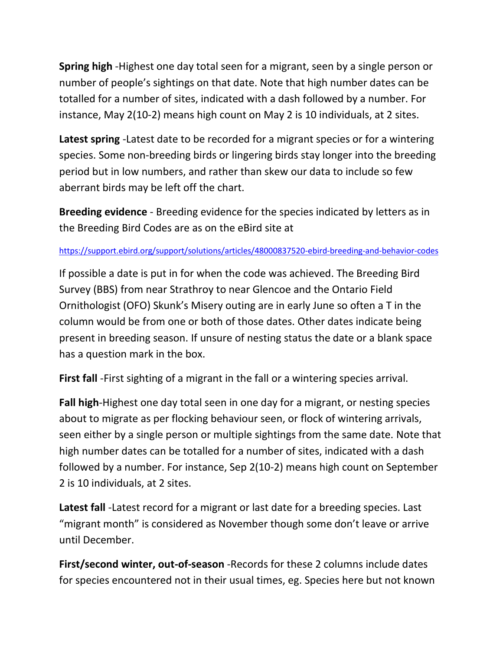**Spring high** -Highest one day total seen for a migrant, seen by a single person or number of people's sightings on that date. Note that high number dates can be totalled for a number of sites, indicated with a dash followed by a number. For instance, May 2(10-2) means high count on May 2 is 10 individuals, at 2 sites.

**Latest spring** -Latest date to be recorded for a migrant species or for a wintering species. Some non-breeding birds or lingering birds stay longer into the breeding period but in low numbers, and rather than skew our data to include so few aberrant birds may be left off the chart.

**Breeding evidence** - Breeding evidence for the species indicated by letters as in the Breeding Bird Codes are as on the eBird site at

## <https://support.ebird.org/support/solutions/articles/48000837520-ebird-breeding-and-behavior-codes>

If possible a date is put in for when the code was achieved. The Breeding Bird Survey (BBS) from near Strathroy to near Glencoe and the Ontario Field Ornithologist (OFO) Skunk's Misery outing are in early June so often a T in the column would be from one or both of those dates. Other dates indicate being present in breeding season. If unsure of nesting status the date or a blank space has a question mark in the box.

**First fall** -First sighting of a migrant in the fall or a wintering species arrival.

**Fall high**-Highest one day total seen in one day for a migrant, or nesting species about to migrate as per flocking behaviour seen, or flock of wintering arrivals, seen either by a single person or multiple sightings from the same date. Note that high number dates can be totalled for a number of sites, indicated with a dash followed by a number. For instance, Sep 2(10-2) means high count on September 2 is 10 individuals, at 2 sites.

**Latest fall** -Latest record for a migrant or last date for a breeding species. Last "migrant month" is considered as November though some don't leave or arrive until December.

**First/second winter, out-of-season** -Records for these 2 columns include dates for species encountered not in their usual times, eg. Species here but not known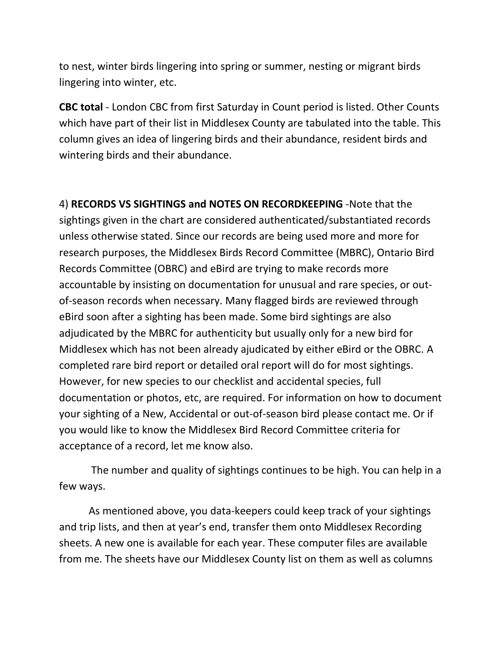to nest, winter birds lingering into spring or summer, nesting or migrant birds lingering into winter, etc.

**CBC total** - London CBC from first Saturday in Count period is listed. Other Counts which have part of their list in Middlesex County are tabulated into the table. This column gives an idea of lingering birds and their abundance, resident birds and wintering birds and their abundance.

4) **RECORDS VS SIGHTINGS and NOTES ON RECORDKEEPING** -Note that the sightings given in the chart are considered authenticated/substantiated records unless otherwise stated. Since our records are being used more and more for research purposes, the Middlesex Birds Record Committee (MBRC), Ontario Bird Records Committee (OBRC) and eBird are trying to make records more accountable by insisting on documentation for unusual and rare species, or outof-season records when necessary. Many flagged birds are reviewed through eBird soon after a sighting has been made. Some bird sightings are also adjudicated by the MBRC for authenticity but usually only for a new bird for Middlesex which has not been already ajudicated by either eBird or the OBRC. A completed rare bird report or detailed oral report will do for most sightings. However, for new species to our checklist and accidental species, full documentation or photos, etc, are required. For information on how to document your sighting of a New, Accidental or out-of-season bird please contact me. Or if you would like to know the Middlesex Bird Record Committee criteria for acceptance of a record, let me know also.

The number and quality of sightings continues to be high. You can help in a few ways.

As mentioned above, you data-keepers could keep track of your sightings and trip lists, and then at year's end, transfer them onto Middlesex Recording sheets. A new one is available for each year. These computer files are available from me. The sheets have our Middlesex County list on them as well as columns